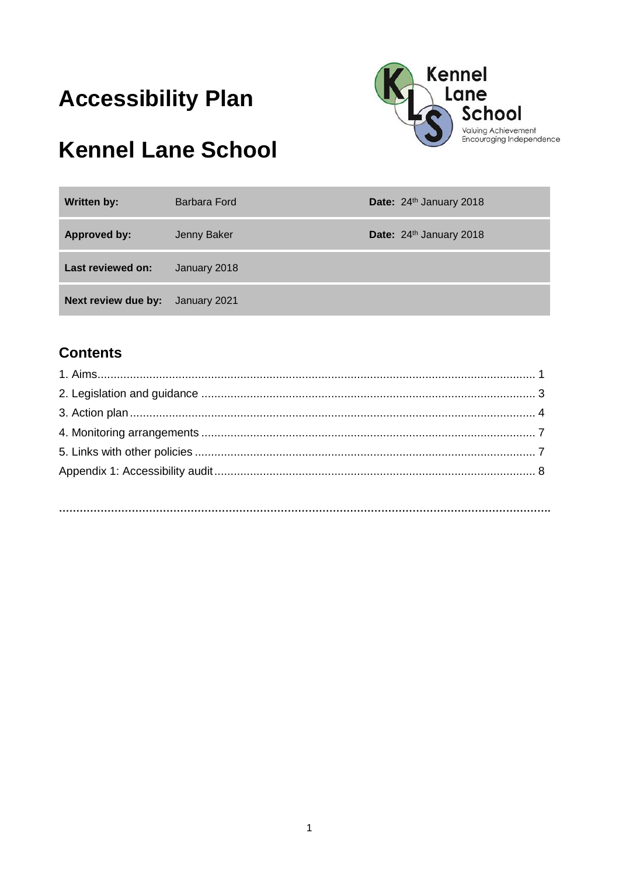# **Accessibility Plan**



# **Kennel Lane School**

| <b>Written by:</b>  | Barbara Ford | Date: 24th January 2018 |
|---------------------|--------------|-------------------------|
| <b>Approved by:</b> | Jenny Baker  | Date: 24th January 2018 |
| Last reviewed on:   | January 2018 |                         |
| Next review due by: | January 2021 |                         |

## **Contents**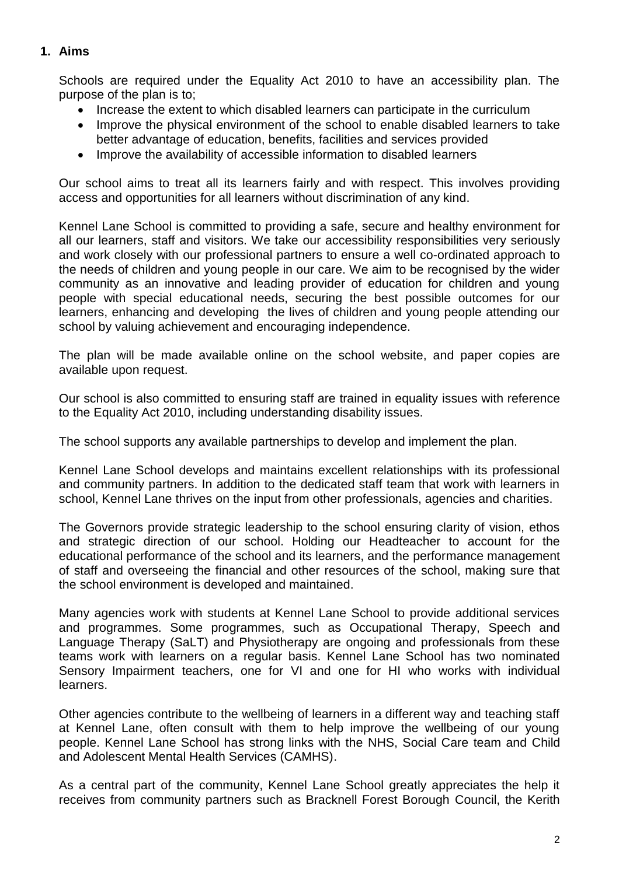#### **1. Aims**

Schools are required under the Equality Act 2010 to have an accessibility plan. The purpose of the plan is to;

- Increase the extent to which disabled learners can participate in the curriculum
- Improve the physical environment of the school to enable disabled learners to take better advantage of education, benefits, facilities and services provided
- Improve the availability of accessible information to disabled learners

Our school aims to treat all its learners fairly and with respect. This involves providing access and opportunities for all learners without discrimination of any kind.

Kennel Lane School is committed to providing a safe, secure and healthy environment for all our learners, staff and visitors. We take our accessibility responsibilities very seriously and work closely with our professional partners to ensure a well co-ordinated approach to the needs of children and young people in our care. We aim to be recognised by the wider community as an innovative and leading provider of education for children and young people with special educational needs, securing the best possible outcomes for our learners, enhancing and developing the lives of children and young people attending our school by valuing achievement and encouraging independence.

The plan will be made available online on the school website, and paper copies are available upon request.

Our school is also committed to ensuring staff are trained in equality issues with reference to the Equality Act 2010, including understanding disability issues.

The school supports any available partnerships to develop and implement the plan.

Kennel Lane School develops and maintains excellent relationships with its professional and community partners. In addition to the dedicated staff team that work with learners in school, Kennel Lane thrives on the input from other professionals, agencies and charities.

The Governors provide strategic leadership to the school ensuring clarity of vision, ethos and strategic direction of our school. Holding our Headteacher to account for the educational performance of the school and its learners, and the performance management of staff and overseeing the financial and other resources of the school, making sure that the school environment is developed and maintained.

Many agencies work with students at Kennel Lane School to provide additional services and programmes. Some programmes, such as Occupational Therapy, Speech and Language Therapy (SaLT) and Physiotherapy are ongoing and professionals from these teams work with learners on a regular basis. Kennel Lane School has two nominated Sensory Impairment teachers, one for VI and one for HI who works with individual learners.

Other agencies contribute to the wellbeing of learners in a different way and teaching staff at Kennel Lane, often consult with them to help improve the wellbeing of our young people. Kennel Lane School has strong links with the NHS, Social Care team and Child and Adolescent Mental Health Services (CAMHS).

As a central part of the community, Kennel Lane School greatly appreciates the help it receives from community partners such as Bracknell Forest Borough Council, the Kerith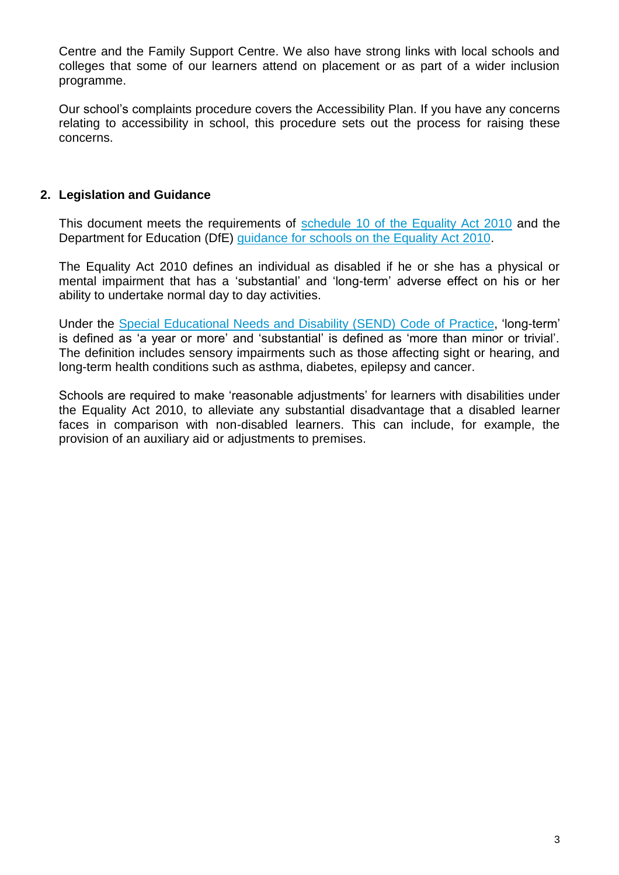Centre and the Family Support Centre. We also have strong links with local schools and colleges that some of our learners attend on placement or as part of a wider inclusion programme.

Our school's complaints procedure covers the Accessibility Plan. If you have any concerns relating to accessibility in school, this procedure sets out the process for raising these concerns.

#### **2. Legislation and Guidance**

This document meets the requirements of [schedule 10 of the Equality Act 2010](http://www.legislation.gov.uk/ukpga/2010/15/schedule/10) and the Department for Education (DfE) [guidance for schools on the Equality Act 2010.](https://www.gov.uk/government/publications/equality-act-2010-advice-for-schools)

The Equality Act 2010 defines an individual as disabled if he or she has a physical or mental impairment that has a 'substantial' and 'long-term' adverse effect on his or her ability to undertake normal day to day activities.

Under the [Special Educational Needs and Disability \(SEND\) Code of Practice,](https://www.gov.uk/government/publications/send-code-of-practice-0-to-25) 'long-term' is defined as 'a year or more' and 'substantial' is defined as 'more than minor or trivial'. The definition includes sensory impairments such as those affecting sight or hearing, and long-term health conditions such as asthma, diabetes, epilepsy and cancer.

Schools are required to make 'reasonable adjustments' for learners with disabilities under the Equality Act 2010, to alleviate any substantial disadvantage that a disabled learner faces in comparison with non-disabled learners. This can include, for example, the provision of an auxiliary aid or adjustments to premises.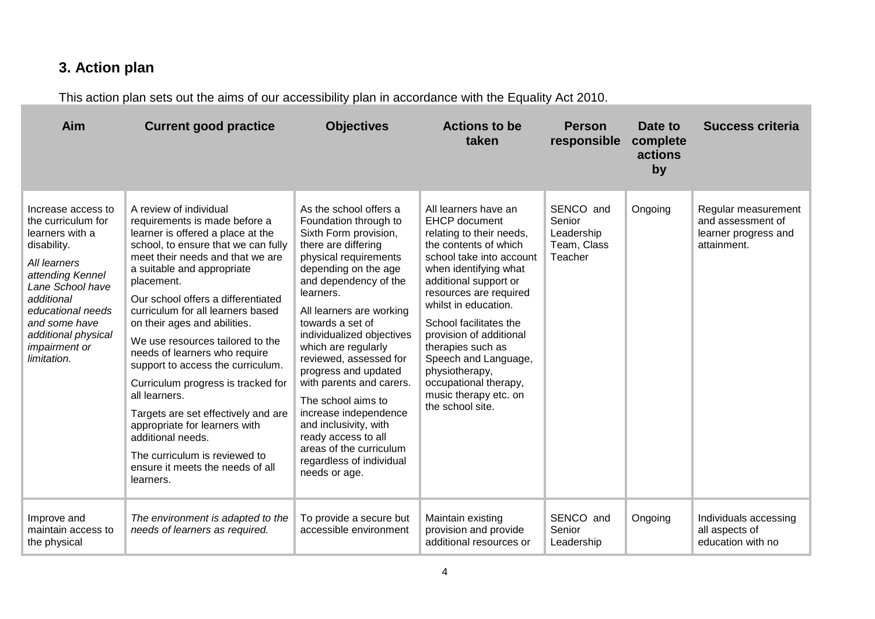## **3. Action plan**

This action plan sets out the aims of our accessibility plan in accordance with the Equality Act 2010.

| Aim                                                                                                                                                                                                                                                  | <b>Current good practice</b>                                                                                                                                                                                                                                                                                                                                                                                                                                                                                                                                                                                                                                                   | <b>Objectives</b>                                                                                                                                                                                                                                                                                                                                                                                                                                                                                                                               | <b>Actions to be</b><br>taken                                                                                                                                                                                                                                                                                                                                                                                               | <b>Person</b><br>responsible                                | Date to<br>complete<br>actions<br>by | <b>Success criteria</b>                                                         |
|------------------------------------------------------------------------------------------------------------------------------------------------------------------------------------------------------------------------------------------------------|--------------------------------------------------------------------------------------------------------------------------------------------------------------------------------------------------------------------------------------------------------------------------------------------------------------------------------------------------------------------------------------------------------------------------------------------------------------------------------------------------------------------------------------------------------------------------------------------------------------------------------------------------------------------------------|-------------------------------------------------------------------------------------------------------------------------------------------------------------------------------------------------------------------------------------------------------------------------------------------------------------------------------------------------------------------------------------------------------------------------------------------------------------------------------------------------------------------------------------------------|-----------------------------------------------------------------------------------------------------------------------------------------------------------------------------------------------------------------------------------------------------------------------------------------------------------------------------------------------------------------------------------------------------------------------------|-------------------------------------------------------------|--------------------------------------|---------------------------------------------------------------------------------|
| Increase access to<br>the curriculum for<br>learners with a<br>disability.<br>All learners<br>attending Kennel<br>Lane School have<br>additional<br>educational needs<br>and some have<br>additional physical<br><i>impairment or</i><br>limitation. | A review of individual<br>requirements is made before a<br>learner is offered a place at the<br>school, to ensure that we can fully<br>meet their needs and that we are<br>a suitable and appropriate<br>placement.<br>Our school offers a differentiated<br>curriculum for all learners based<br>on their ages and abilities.<br>We use resources tailored to the<br>needs of learners who require<br>support to access the curriculum.<br>Curriculum progress is tracked for<br>all learners.<br>Targets are set effectively and are<br>appropriate for learners with<br>additional needs.<br>The curriculum is reviewed to<br>ensure it meets the needs of all<br>learners. | As the school offers a<br>Foundation through to<br>Sixth Form provision,<br>there are differing<br>physical requirements<br>depending on the age<br>and dependency of the<br>learners.<br>All learners are working<br>towards a set of<br>individualized objectives<br>which are regularly<br>reviewed, assessed for<br>progress and updated<br>with parents and carers.<br>The school aims to<br>increase independence<br>and inclusivity, with<br>ready access to all<br>areas of the curriculum<br>regardless of individual<br>needs or age. | All learners have an<br><b>EHCP</b> document<br>relating to their needs,<br>the contents of which<br>school take into account<br>when identifying what<br>additional support or<br>resources are required<br>whilst in education.<br>School facilitates the<br>provision of additional<br>therapies such as<br>Speech and Language,<br>physiotherapy,<br>occupational therapy,<br>music therapy etc. on<br>the school site. | SENCO and<br>Senior<br>Leadership<br>Team, Class<br>Teacher | Ongoing                              | Regular measurement<br>and assessment of<br>learner progress and<br>attainment. |
| Improve and<br>maintain access to<br>the physical                                                                                                                                                                                                    | The environment is adapted to the<br>needs of learners as required.                                                                                                                                                                                                                                                                                                                                                                                                                                                                                                                                                                                                            | To provide a secure but<br>accessible environment                                                                                                                                                                                                                                                                                                                                                                                                                                                                                               | Maintain existing<br>provision and provide<br>additional resources or                                                                                                                                                                                                                                                                                                                                                       | SENCO and<br>Senior<br>Leadership                           | Ongoing                              | Individuals accessing<br>all aspects of<br>education with no                    |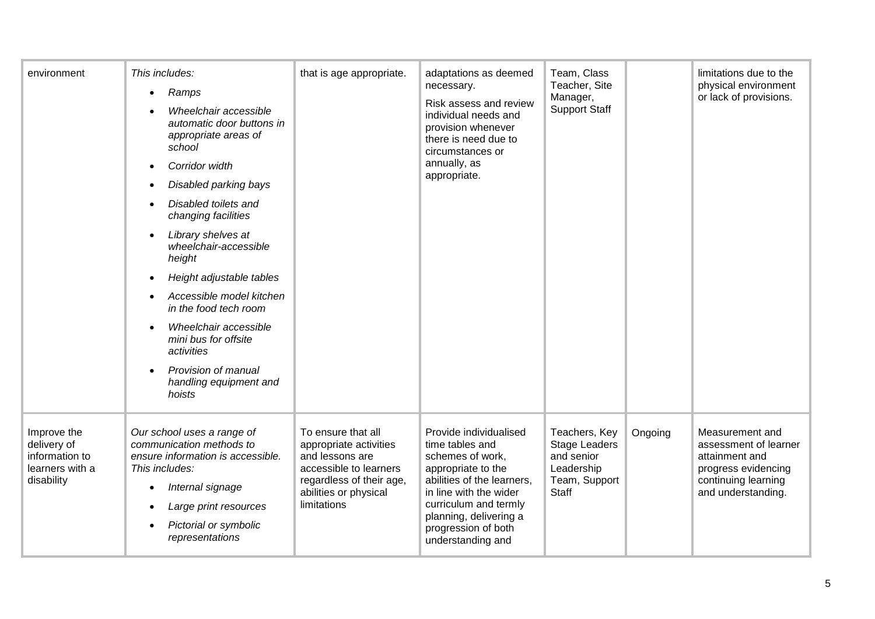| environment                                                                   | This includes:<br>Ramps<br>Wheelchair accessible<br>automatic door buttons in<br>appropriate areas of<br>school<br>Corridor width<br>Disabled parking bays<br>Disabled toilets and<br>changing facilities<br>Library shelves at<br>wheelchair-accessible<br>height<br>Height adjustable tables<br>Accessible model kitchen<br>in the food tech room<br>Wheelchair accessible<br>mini bus for offsite<br>activities<br>Provision of manual<br>handling equipment and<br>hoists | that is age appropriate.                                                                                                                                      | adaptations as deemed<br>necessary.<br>Risk assess and review<br>individual needs and<br>provision whenever<br>there is need due to<br>circumstances or<br>annually, as<br>appropriate.                                                    | Team, Class<br>Teacher, Site<br>Manager,<br><b>Support Staff</b>                                   |         | limitations due to the<br>physical environment<br>or lack of provisions.                                                       |
|-------------------------------------------------------------------------------|-------------------------------------------------------------------------------------------------------------------------------------------------------------------------------------------------------------------------------------------------------------------------------------------------------------------------------------------------------------------------------------------------------------------------------------------------------------------------------|---------------------------------------------------------------------------------------------------------------------------------------------------------------|--------------------------------------------------------------------------------------------------------------------------------------------------------------------------------------------------------------------------------------------|----------------------------------------------------------------------------------------------------|---------|--------------------------------------------------------------------------------------------------------------------------------|
| Improve the<br>delivery of<br>information to<br>learners with a<br>disability | Our school uses a range of<br>communication methods to<br>ensure information is accessible.<br>This includes:<br>Internal signage<br>٠<br>Large print resources<br>Pictorial or symbolic<br>representations                                                                                                                                                                                                                                                                   | To ensure that all<br>appropriate activities<br>and lessons are<br>accessible to learners<br>regardless of their age,<br>abilities or physical<br>limitations | Provide individualised<br>time tables and<br>schemes of work,<br>appropriate to the<br>abilities of the learners.<br>in line with the wider<br>curriculum and termly<br>planning, delivering a<br>progression of both<br>understanding and | Teachers, Key<br><b>Stage Leaders</b><br>and senior<br>Leadership<br>Team, Support<br><b>Staff</b> | Ongoing | Measurement and<br>assessment of learner<br>attainment and<br>progress evidencing<br>continuing learning<br>and understanding. |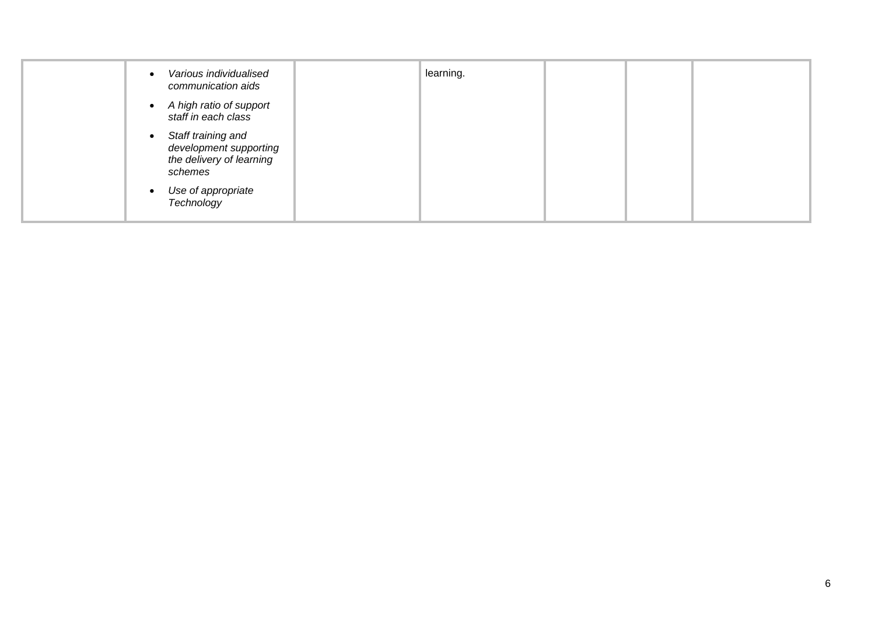| Various individualised<br>communication aids                                        | learning. |  |  |
|-------------------------------------------------------------------------------------|-----------|--|--|
| A high ratio of support<br>staff in each class                                      |           |  |  |
| Staff training and<br>development supporting<br>the delivery of learning<br>schemes |           |  |  |
| Use of appropriate<br>$\bullet$<br>Technology                                       |           |  |  |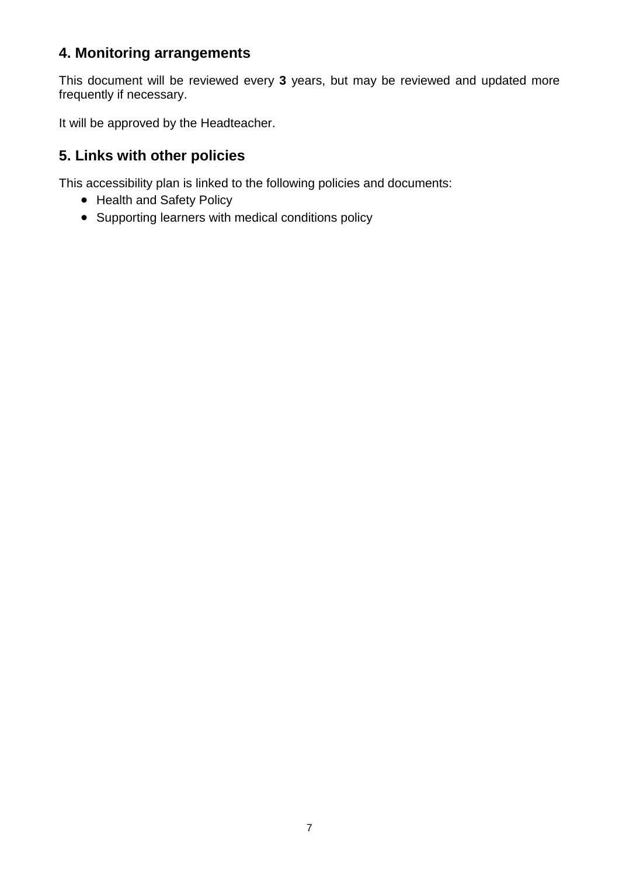### **4. Monitoring arrangements**

This document will be reviewed every **3** years, but may be reviewed and updated more frequently if necessary.

It will be approved by the Headteacher.

### **5. Links with other policies**

This accessibility plan is linked to the following policies and documents:

- Health and Safety Policy
- Supporting learners with medical conditions policy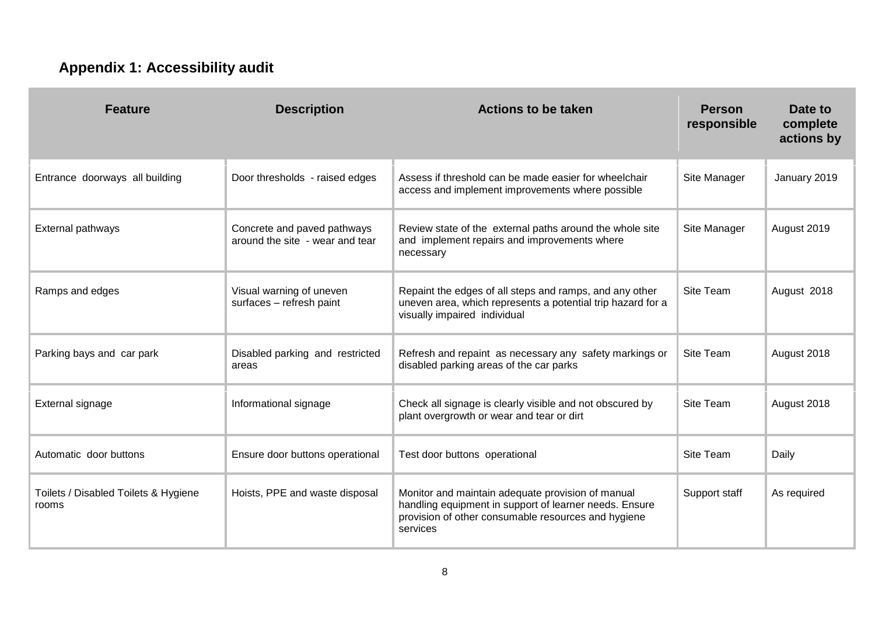# **Appendix 1: Accessibility audit**

| <b>Feature</b>                                | <b>Description</b>                                             | <b>Actions to be taken</b>                                                                                                                                                     | <b>Person</b><br>responsible | Date to<br>complete<br>actions by |
|-----------------------------------------------|----------------------------------------------------------------|--------------------------------------------------------------------------------------------------------------------------------------------------------------------------------|------------------------------|-----------------------------------|
| Entrance doorways all building                | Door thresholds - raised edges                                 | Assess if threshold can be made easier for wheelchair<br>access and implement improvements where possible                                                                      | Site Manager                 | January 2019                      |
| External pathways                             | Concrete and paved pathways<br>around the site - wear and tear | Review state of the external paths around the whole site<br>and implement repairs and improvements where<br>necessary                                                          | Site Manager                 | August 2019                       |
| Ramps and edges                               | Visual warning of uneven<br>surfaces - refresh paint           | Repaint the edges of all steps and ramps, and any other<br>uneven area, which represents a potential trip hazard for a<br>visually impaired individual                         | Site Team                    | August 2018                       |
| Parking bays and car park                     | Disabled parking and restricted<br>areas                       | Refresh and repaint as necessary any safety markings or<br>disabled parking areas of the car parks                                                                             | Site Team                    | August 2018                       |
| External signage                              | Informational signage                                          | Check all signage is clearly visible and not obscured by<br>plant overgrowth or wear and tear or dirt                                                                          | Site Team                    | August 2018                       |
| Automatic door buttons                        | Ensure door buttons operational                                | Test door buttons operational                                                                                                                                                  | Site Team                    | Daily                             |
| Toilets / Disabled Toilets & Hygiene<br>rooms | Hoists, PPE and waste disposal                                 | Monitor and maintain adequate provision of manual<br>handling equipment in support of learner needs. Ensure<br>provision of other consumable resources and hygiene<br>services | Support staff                | As required                       |